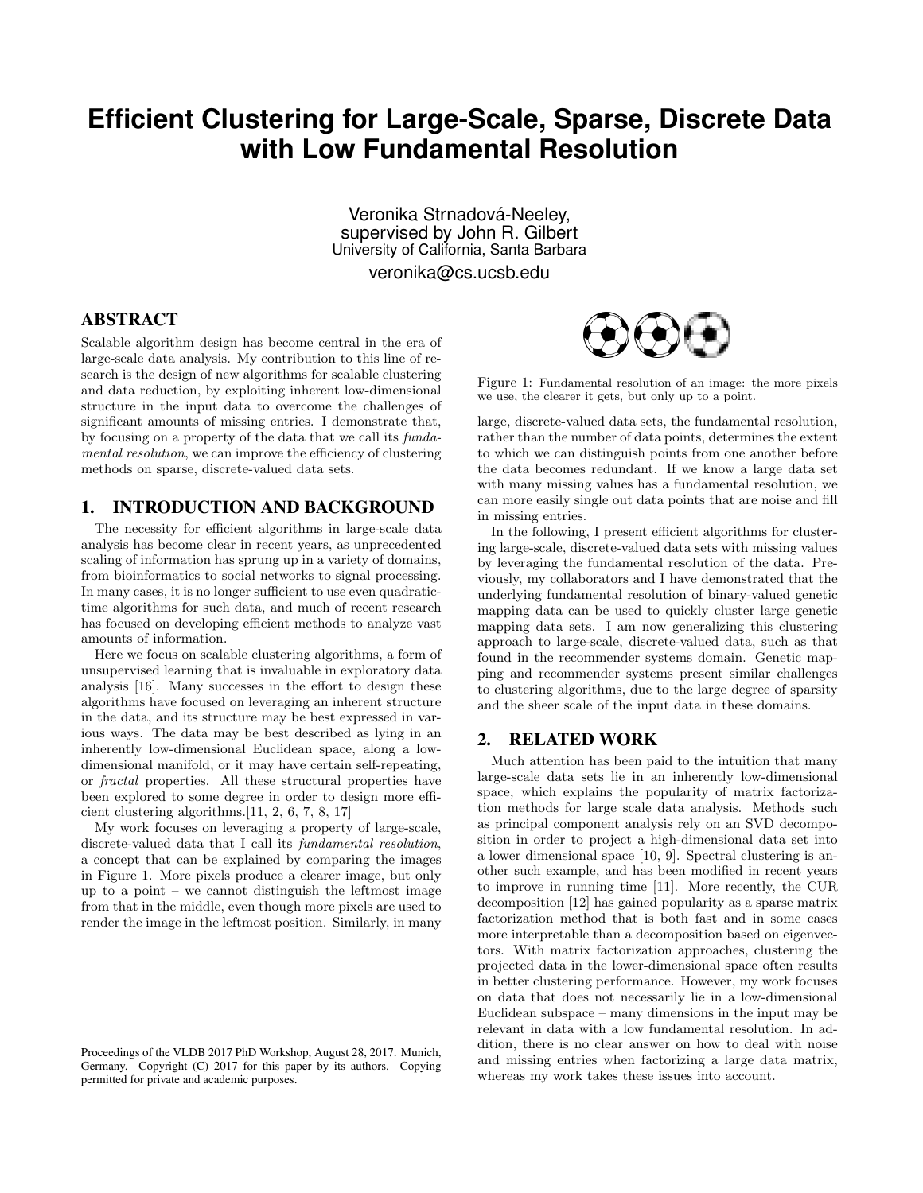# **Efficient Clustering for Large-Scale, Sparse, Discrete Data with Low Fundamental Resolution**

Veronika Strnadová-Neeley, supervised by John R. Gilbert University of California, Santa Barbara

veronika@cs.ucsb.edu

# ABSTRACT

Scalable algorithm design has become central in the era of large-scale data analysis. My contribution to this line of research is the design of new algorithms for scalable clustering and data reduction, by exploiting inherent low-dimensional structure in the input data to overcome the challenges of significant amounts of missing entries. I demonstrate that, by focusing on a property of the data that we call its fundamental resolution, we can improve the efficiency of clustering methods on sparse, discrete-valued data sets.

#### 1. INTRODUCTION AND BACKGROUND

The necessity for efficient algorithms in large-scale data analysis has become clear in recent years, as unprecedented scaling of information has sprung up in a variety of domains, from bioinformatics to social networks to signal processing. In many cases, it is no longer sufficient to use even quadratictime algorithms for such data, and much of recent research has focused on developing efficient methods to analyze vast amounts of information.

Here we focus on scalable clustering algorithms, a form of unsupervised learning that is invaluable in exploratory data analysis [16]. Many successes in the effort to design these algorithms have focused on leveraging an inherent structure in the data, and its structure may be best expressed in various ways. The data may be best described as lying in an inherently low-dimensional Euclidean space, along a lowdimensional manifold, or it may have certain self-repeating, or fractal properties. All these structural properties have been explored to some degree in order to design more efficient clustering algorithms.[11, 2, 6, 7, 8, 17]

My work focuses on leveraging a property of large-scale, discrete-valued data that I call its fundamental resolution, a concept that can be explained by comparing the images in Figure 1. More pixels produce a clearer image, but only up to a point – we cannot distinguish the leftmost image from that in the middle, even though more pixels are used to render the image in the leftmost position. Similarly, in many



Figure 1: Fundamental resolution of an image: the more pixels we use, the clearer it gets, but only up to a point.

large, discrete-valued data sets, the fundamental resolution, rather than the number of data points, determines the extent to which we can distinguish points from one another before the data becomes redundant. If we know a large data set with many missing values has a fundamental resolution, we can more easily single out data points that are noise and fill in missing entries.

In the following, I present efficient algorithms for clustering large-scale, discrete-valued data sets with missing values by leveraging the fundamental resolution of the data. Previously, my collaborators and I have demonstrated that the underlying fundamental resolution of binary-valued genetic mapping data can be used to quickly cluster large genetic mapping data sets. I am now generalizing this clustering approach to large-scale, discrete-valued data, such as that found in the recommender systems domain. Genetic mapping and recommender systems present similar challenges to clustering algorithms, due to the large degree of sparsity and the sheer scale of the input data in these domains.

#### 2. RELATED WORK

Much attention has been paid to the intuition that many large-scale data sets lie in an inherently low-dimensional space, which explains the popularity of matrix factorization methods for large scale data analysis. Methods such as principal component analysis rely on an SVD decomposition in order to project a high-dimensional data set into a lower dimensional space [10, 9]. Spectral clustering is another such example, and has been modified in recent years to improve in running time [11]. More recently, the CUR decomposition [12] has gained popularity as a sparse matrix factorization method that is both fast and in some cases more interpretable than a decomposition based on eigenvectors. With matrix factorization approaches, clustering the projected data in the lower-dimensional space often results in better clustering performance. However, my work focuses on data that does not necessarily lie in a low-dimensional Euclidean subspace – many dimensions in the input may be relevant in data with a low fundamental resolution. In addition, there is no clear answer on how to deal with noise and missing entries when factorizing a large data matrix, whereas my work takes these issues into account.

Proceedings of the VLDB 2017 PhD Workshop, August 28, 2017. Munich, Germany. Copyright (C) 2017 for this paper by its authors. Copying permitted for private and academic purposes.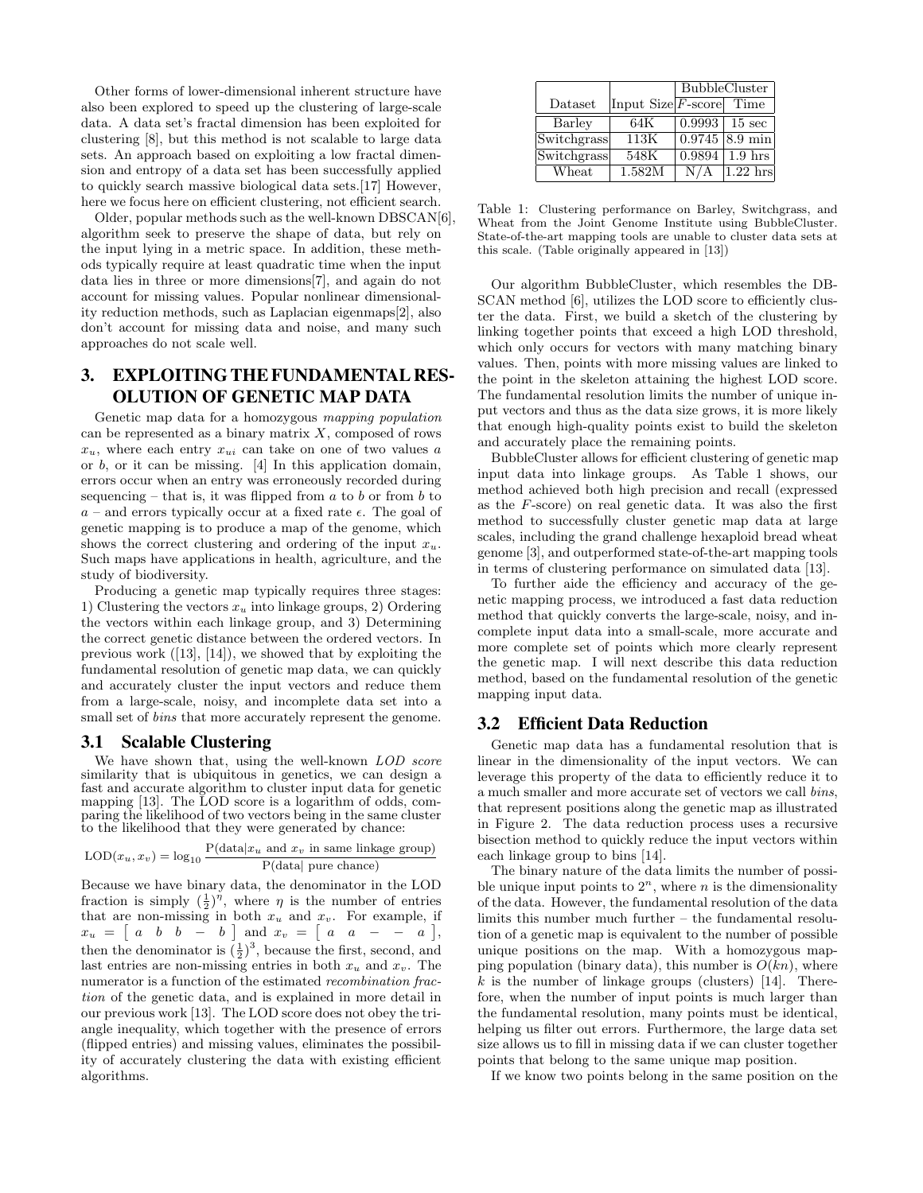Other forms of lower-dimensional inherent structure have also been explored to speed up the clustering of large-scale data. A data set's fractal dimension has been exploited for clustering [8], but this method is not scalable to large data sets. An approach based on exploiting a low fractal dimension and entropy of a data set has been successfully applied to quickly search massive biological data sets.[17] However, here we focus here on efficient clustering, not efficient search.

Older, popular methods such as the well-known DBSCAN[6], algorithm seek to preserve the shape of data, but rely on the input lying in a metric space. In addition, these methods typically require at least quadratic time when the input data lies in three or more dimensions[7], and again do not account for missing values. Popular nonlinear dimensionality reduction methods, such as Laplacian eigenmaps[2], also don't account for missing data and noise, and many such approaches do not scale well.

# 3. EXPLOITING THE FUNDAMENTAL RES-OLUTION OF GENETIC MAP DATA

Genetic map data for a homozygous mapping population can be represented as a binary matrix  $X$ , composed of rows  $x_u$ , where each entry  $x_{ui}$  can take on one of two values a or  $b$ , or it can be missing. [4] In this application domain, errors occur when an entry was erroneously recorded during sequencing – that is, it was flipped from  $a$  to  $b$  or from  $b$  to  $a$  – and errors typically occur at a fixed rate  $\epsilon$ . The goal of genetic mapping is to produce a map of the genome, which shows the correct clustering and ordering of the input  $x_u$ . Such maps have applications in health, agriculture, and the study of biodiversity.

Producing a genetic map typically requires three stages: 1) Clustering the vectors  $x_u$  into linkage groups, 2) Ordering the vectors within each linkage group, and 3) Determining the correct genetic distance between the ordered vectors. In previous work ([13], [14]), we showed that by exploiting the fundamental resolution of genetic map data, we can quickly and accurately cluster the input vectors and reduce them from a large-scale, noisy, and incomplete data set into a small set of *bins* that more accurately represent the genome.

#### 3.1 Scalable Clustering

We have shown that, using the well-known LOD score similarity that is ubiquitous in genetics, we can design a fast and accurate algorithm to cluster input data for genetic mapping [13]. The LOD score is a logarithm of odds, comparing the likelihood of two vectors being in the same cluster to the likelihood that they were generated by chance:

$$
LOD(x_u, x_v) = \log_{10} \frac{P(\text{data}|x_u \text{ and } x_v \text{ in same linkage group})}{P(\text{data}| \text{ pure chance})}
$$

Because we have binary data, the denominator in the LOD fraction is simply  $(\frac{1}{2})^{\eta}$ , where  $\eta$  is the number of entries that are non-missing in both  $x_u$  and  $x_v$ . For example, if  $x_u = \begin{bmatrix} a & b & b & -b \end{bmatrix}$  and  $x_v = \begin{bmatrix} a & a & -b & a \end{bmatrix}$ , then the denominator is  $(\frac{1}{2})^3$ , because the first, second, and last entries are non-missing entries in both  $x_u$  and  $x_v$ . The numerator is a function of the estimated *recombination frac*tion of the genetic data, and is explained in more detail in our previous work [13]. The LOD score does not obey the triangle inequality, which together with the presence of errors (flipped entries) and missing values, eliminates the possibility of accurately clustering the data with existing efficient algorithms.

|             |                                   | <b>BubbleCluster</b> |                    |
|-------------|-----------------------------------|----------------------|--------------------|
| Dataset     | Input $Size F\text{-score} $ Time |                      |                    |
| Barley      | 64K                               | 0.9993               | $15 \text{ sec}$   |
| Switchgrass | 113K                              |                      | $0.9745$ 8.9 min   |
| Switchgrass | 548K                              | 0.9894               | 1.9 <sub>hrs</sub> |
| Wheat       | 1.582M                            | ' A<br>N/            | $1.22$ hrs         |

Table 1: Clustering performance on Barley, Switchgrass, and Wheat from the Joint Genome Institute using BubbleCluster. State-of-the-art mapping tools are unable to cluster data sets at this scale. (Table originally appeared in [13])

Our algorithm BubbleCluster, which resembles the DB-SCAN method [6], utilizes the LOD score to efficiently cluster the data. First, we build a sketch of the clustering by linking together points that exceed a high LOD threshold, which only occurs for vectors with many matching binary values. Then, points with more missing values are linked to the point in the skeleton attaining the highest LOD score. The fundamental resolution limits the number of unique input vectors and thus as the data size grows, it is more likely that enough high-quality points exist to build the skeleton and accurately place the remaining points.

BubbleCluster allows for efficient clustering of genetic map input data into linkage groups. As Table 1 shows, our method achieved both high precision and recall (expressed as the F-score) on real genetic data. It was also the first method to successfully cluster genetic map data at large scales, including the grand challenge hexaploid bread wheat genome [3], and outperformed state-of-the-art mapping tools in terms of clustering performance on simulated data [13].

To further aide the efficiency and accuracy of the genetic mapping process, we introduced a fast data reduction method that quickly converts the large-scale, noisy, and incomplete input data into a small-scale, more accurate and more complete set of points which more clearly represent the genetic map. I will next describe this data reduction method, based on the fundamental resolution of the genetic mapping input data.

#### 3.2 Efficient Data Reduction

Genetic map data has a fundamental resolution that is linear in the dimensionality of the input vectors. We can leverage this property of the data to efficiently reduce it to a much smaller and more accurate set of vectors we call bins, that represent positions along the genetic map as illustrated in Figure 2. The data reduction process uses a recursive bisection method to quickly reduce the input vectors within each linkage group to bins [14].

The binary nature of the data limits the number of possible unique input points to  $2^n$ , where *n* is the dimensionality of the data. However, the fundamental resolution of the data limits this number much further – the fundamental resolution of a genetic map is equivalent to the number of possible unique positions on the map. With a homozygous mapping population (binary data), this number is  $O(kn)$ , where  $k$  is the number of linkage groups (clusters) [14]. Therefore, when the number of input points is much larger than the fundamental resolution, many points must be identical, helping us filter out errors. Furthermore, the large data set size allows us to fill in missing data if we can cluster together points that belong to the same unique map position.

If we know two points belong in the same position on the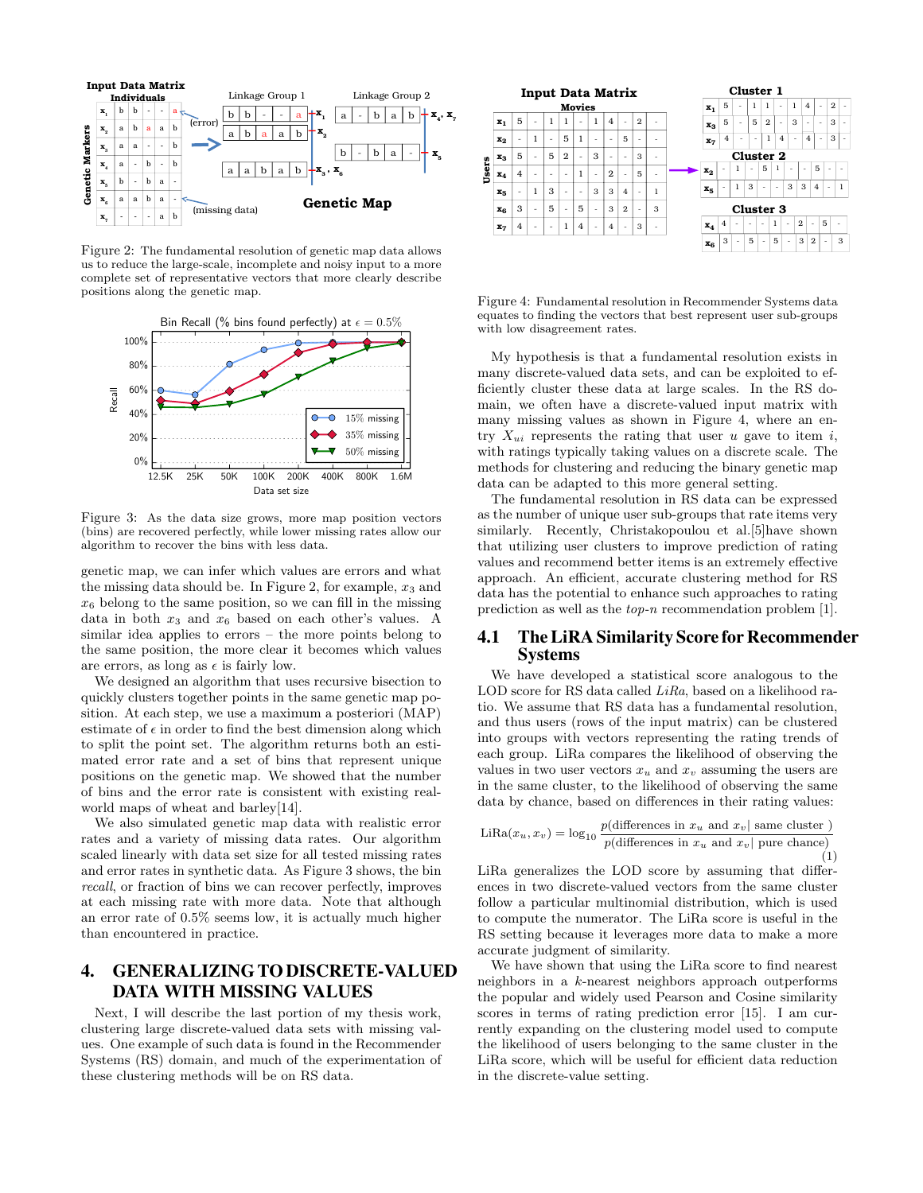

Figure 2: The fundamental resolution of genetic map data allows us to reduce the large-scale, incomplete and noisy input to a more complete set of representative vectors that more clearly describe positions along the genetic map.



Figure 3: As the data size grows, more map position vectors (bins) are recovered perfectly, while lower missing rates allow our algorithm to recover the bins with less data.

genetic map, we can infer which values are errors and what the missing data should be. In Figure 2, for example,  $x_3$  and  $x<sub>6</sub>$  belong to the same position, so we can fill in the missing data in both  $x_3$  and  $x_6$  based on each other's values. A similar idea applies to errors – the more points belong to the same position, the more clear it becomes which values are errors, as long as  $\epsilon$  is fairly low.

We designed an algorithm that uses recursive bisection to quickly clusters together points in the same genetic map position. At each step, we use a maximum a posteriori (MAP) estimate of  $\epsilon$  in order to find the best dimension along which to split the point set. The algorithm returns both an estimated error rate and a set of bins that represent unique positions on the genetic map. We showed that the number of bins and the error rate is consistent with existing realworld maps of wheat and barley[14].

We also simulated genetic map data with realistic error rates and a variety of missing data rates. Our algorithm scaled linearly with data set size for all tested missing rates and error rates in synthetic data. As Figure 3 shows, the bin recall, or fraction of bins we can recover perfectly, improves at each missing rate with more data. Note that although an error rate of 0.5% seems low, it is actually much higher than encountered in practice.

# 4. GENERALIZING TO DISCRETE-VALUED DATA WITH MISSING VALUES

Next, I will describe the last portion of my thesis work, clustering large discrete-valued data sets with missing values. One example of such data is found in the Recommender Systems (RS) domain, and much of the experimentation of these clustering methods will be on RS data.



Figure 4: Fundamental resolution in Recommender Systems data equates to finding the vectors that best represent user sub-groups with low disagreement rates.

My hypothesis is that a fundamental resolution exists in many discrete-valued data sets, and can be exploited to efficiently cluster these data at large scales. In the RS domain, we often have a discrete-valued input matrix with many missing values as shown in Figure 4, where an entry  $X_{ui}$  represents the rating that user u gave to item i, with ratings typically taking values on a discrete scale. The methods for clustering and reducing the binary genetic map data can be adapted to this more general setting.

The fundamental resolution in RS data can be expressed as the number of unique user sub-groups that rate items very similarly. Recently, Christakopoulou et al.[5]have shown that utilizing user clusters to improve prediction of rating values and recommend better items is an extremely effective approach. An efficient, accurate clustering method for RS data has the potential to enhance such approaches to rating prediction as well as the top-n recommendation problem [1].

#### 4.1 The LiRA Similarity Score for Recommender Systems

We have developed a statistical score analogous to the LOD score for RS data called LiRa, based on a likelihood ratio. We assume that RS data has a fundamental resolution, and thus users (rows of the input matrix) can be clustered into groups with vectors representing the rating trends of each group. LiRa compares the likelihood of observing the values in two user vectors  $x_u$  and  $x_v$  assuming the users are in the same cluster, to the likelihood of observing the same data by chance, based on differences in their rating values:

$$
\text{LiRa}(x_u, x_v) = \log_{10} \frac{p(\text{differences in } x_u \text{ and } x_v \mid \text{same cluster } )}{p(\text{differences in } x_u \text{ and } x_v \mid \text{pure chance})}
$$
\n(1)

LiRa generalizes the LOD score by assuming that differences in two discrete-valued vectors from the same cluster follow a particular multinomial distribution, which is used to compute the numerator. The LiRa score is useful in the RS setting because it leverages more data to make a more accurate judgment of similarity.

We have shown that using the LiRa score to find nearest neighbors in a k-nearest neighbors approach outperforms the popular and widely used Pearson and Cosine similarity scores in terms of rating prediction error [15]. I am currently expanding on the clustering model used to compute the likelihood of users belonging to the same cluster in the LiRa score, which will be useful for efficient data reduction in the discrete-value setting.